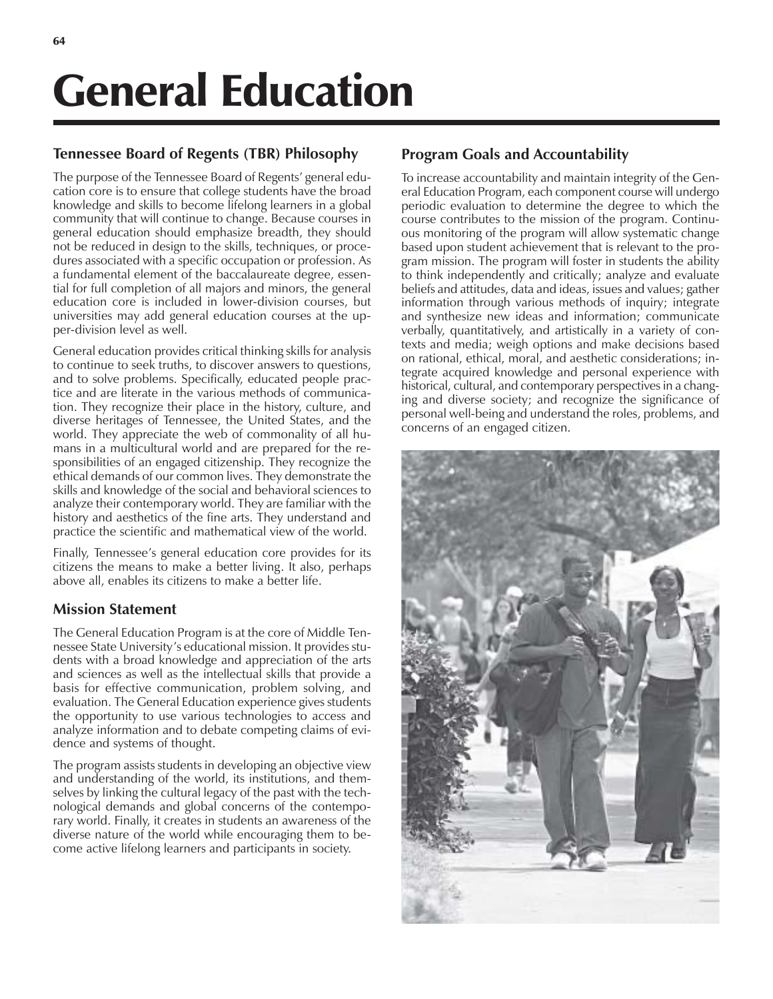# General Education

### **Tennessee Board of Regents (TBR) Philosophy**

The purpose of the Tennessee Board of Regents' general education core is to ensure that college students have the broad knowledge and skills to become lifelong learners in a global community that will continue to change. Because courses in general education should emphasize breadth, they should not be reduced in design to the skills, techniques, or procedures associated with a specific occupation or profession. As a fundamental element of the baccalaureate degree, essential for full completion of all majors and minors, the general education core is included in lower-division courses, but universities may add general education courses at the upper-division level as well.

General education provides critical thinking skills for analysis to continue to seek truths, to discover answers to questions, and to solve problems. Specifically, educated people practice and are literate in the various methods of communication. They recognize their place in the history, culture, and diverse heritages of Tennessee, the United States, and the world. They appreciate the web of commonality of all humans in a multicultural world and are prepared for the responsibilities of an engaged citizenship. They recognize the ethical demands of our common lives. They demonstrate the skills and knowledge of the social and behavioral sciences to analyze their contemporary world. They are familiar with the history and aesthetics of the fine arts. They understand and practice the scientific and mathematical view of the world.

Finally, Tennessee's general education core provides for its citizens the means to make a better living. It also, perhaps above all, enables its citizens to make a better life.

#### **Mission Statement**

The General Education Program is at the core of Middle Tennessee State University's educational mission. It provides students with a broad knowledge and appreciation of the arts and sciences as well as the intellectual skills that provide a basis for effective communication, problem solving, and evaluation. The General Education experience gives students the opportunity to use various technologies to access and analyze information and to debate competing claims of evidence and systems of thought.

The program assists students in developing an objective view and understanding of the world, its institutions, and themselves by linking the cultural legacy of the past with the technological demands and global concerns of the contemporary world. Finally, it creates in students an awareness of the diverse nature of the world while encouraging them to become active lifelong learners and participants in society.

## **Program Goals and Accountability**

To increase accountability and maintain integrity of the General Education Program, each component course will undergo periodic evaluation to determine the degree to which the course contributes to the mission of the program. Continuous monitoring of the program will allow systematic change based upon student achievement that is relevant to the program mission. The program will foster in students the ability to think independently and critically; analyze and evaluate beliefs and attitudes, data and ideas, issues and values; gather information through various methods of inquiry; integrate and synthesize new ideas and information; communicate verbally, quantitatively, and artistically in a variety of contexts and media; weigh options and make decisions based on rational, ethical, moral, and aesthetic considerations; integrate acquired knowledge and personal experience with historical, cultural, and contemporary perspectives in a changing and diverse society; and recognize the significance of personal well-being and understand the roles, problems, and concerns of an engaged citizen.

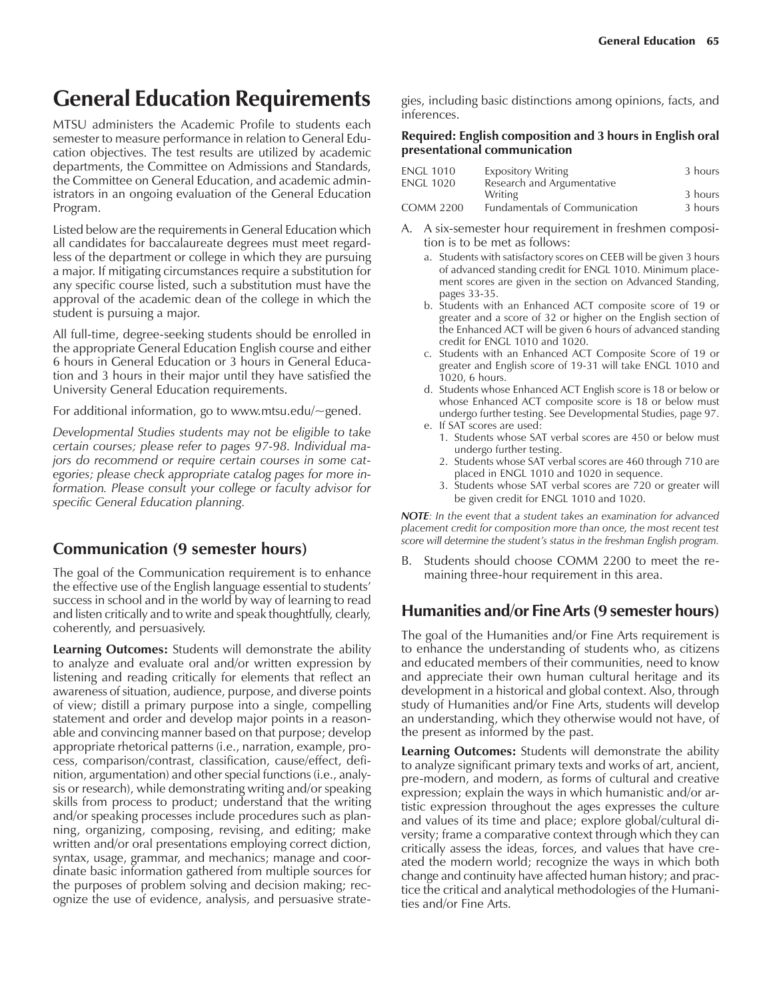# **General Education Requirements**

MTSU administers the Academic Profile to students each semester to measure performance in relation to General Education objectives. The test results are utilized by academic departments, the Committee on Admissions and Standards, the Committee on General Education, and academic administrators in an ongoing evaluation of the General Education Program.

Listed below are the requirements in General Education which all candidates for baccalaureate degrees must meet regardless of the department or college in which they are pursuing a major. If mitigating circumstances require a substitution for any specific course listed, such a substitution must have the approval of the academic dean of the college in which the student is pursuing a major.

All full-time, degree-seeking students should be enrolled in the appropriate General Education English course and either 6 hours in General Education or 3 hours in General Education and 3 hours in their major until they have satisfied the University General Education requirements.

For additional information, go to www.mtsu.edu/~gened.

*Developmental Studies students may not be eligible to take certain courses; please refer to pages 97-98. Individual majors do recommend or require certain courses in some categories; please check appropriate catalog pages for more information. Please consult your college or faculty advisor for specific General Education planning.*

#### **Communication (9 semester hours)**

The goal of the Communication requirement is to enhance the effective use of the English language essential to students' success in school and in the world by way of learning to read and listen critically and to write and speak thoughtfully, clearly, coherently, and persuasively.

**Learning Outcomes:** Students will demonstrate the ability to analyze and evaluate oral and/or written expression by listening and reading critically for elements that reflect an awareness of situation, audience, purpose, and diverse points of view; distill a primary purpose into a single, compelling statement and order and develop major points in a reasonable and convincing manner based on that purpose; develop appropriate rhetorical patterns (i.e., narration, example, process, comparison/contrast, classification, cause/effect, definition, argumentation) and other special functions (i.e., analysis or research), while demonstrating writing and/or speaking skills from process to product; understand that the writing and/or speaking processes include procedures such as planning, organizing, composing, revising, and editing; make written and/or oral presentations employing correct diction, syntax, usage, grammar, and mechanics; manage and coordinate basic information gathered from multiple sources for the purposes of problem solving and decision making; recognize the use of evidence, analysis, and persuasive strategies, including basic distinctions among opinions, facts, and inferences.

#### **Required: English composition and 3 hours in English oral presentational communication**

| <b>ENGL 1010</b> | <b>Expository Writing</b>            | 3 hours |
|------------------|--------------------------------------|---------|
| <b>ENGL 1020</b> | Research and Argumentative           |         |
|                  | Writing                              | 3 hours |
| <b>COMM 2200</b> | <b>Fundamentals of Communication</b> | 3 hours |

- A. A six-semester hour requirement in freshmen composition is to be met as follows:
	- a. Students with satisfactory scores on CEEB will be given 3 hours of advanced standing credit for ENGL 1010. Minimum placement scores are given in the section on Advanced Standing, pages 33-35.
	- b. Students with an Enhanced ACT composite score of 19 or greater and a score of 32 or higher on the English section of the Enhanced ACT will be given 6 hours of advanced standing credit for ENGL 1010 and 1020.
	- c. Students with an Enhanced ACT Composite Score of 19 or greater and English score of 19-31 will take ENGL 1010 and 1020, 6 hours.
	- d. Students whose Enhanced ACT English score is 18 or below or whose Enhanced ACT composite score is 18 or below must undergo further testing. See Developmental Studies, page 97.
	- e. If SAT scores are used:
		- 1. Students whose SAT verbal scores are 450 or below must undergo further testing.
		- 2. Students whose SAT verbal scores are 460 through 710 are placed in ENGL 1010 and 1020 in sequence.
		- 3. Students whose SAT verbal scores are 720 or greater will be given credit for ENGL 1010 and 1020.

*NOTE: In the event that a student takes an examination for advanced placement credit for composition more than once, the most recent test score will determine the studentís status in the freshman English program.*

B. Students should choose COMM 2200 to meet the remaining three-hour requirement in this area.

#### **Humanities and/or Fine Arts (9 semester hours)**

The goal of the Humanities and/or Fine Arts requirement is to enhance the understanding of students who, as citizens and educated members of their communities, need to know and appreciate their own human cultural heritage and its development in a historical and global context. Also, through study of Humanities and*/*or Fine Arts, students will develop an understanding, which they otherwise would not have, of the present as informed by the past.

**Learning Outcomes:** Students will demonstrate the ability to analyze significant primary texts and works of art, ancient, pre-modern, and modern, as forms of cultural and creative expression; explain the ways in which humanistic and/or artistic expression throughout the ages expresses the culture and values of its time and place; explore global/cultural diversity; frame a comparative context through which they can critically assess the ideas, forces, and values that have created the modern world; recognize the ways in which both change and continuity have affected human history; and practice the critical and analytical methodologies of the Humanities and/or Fine Arts.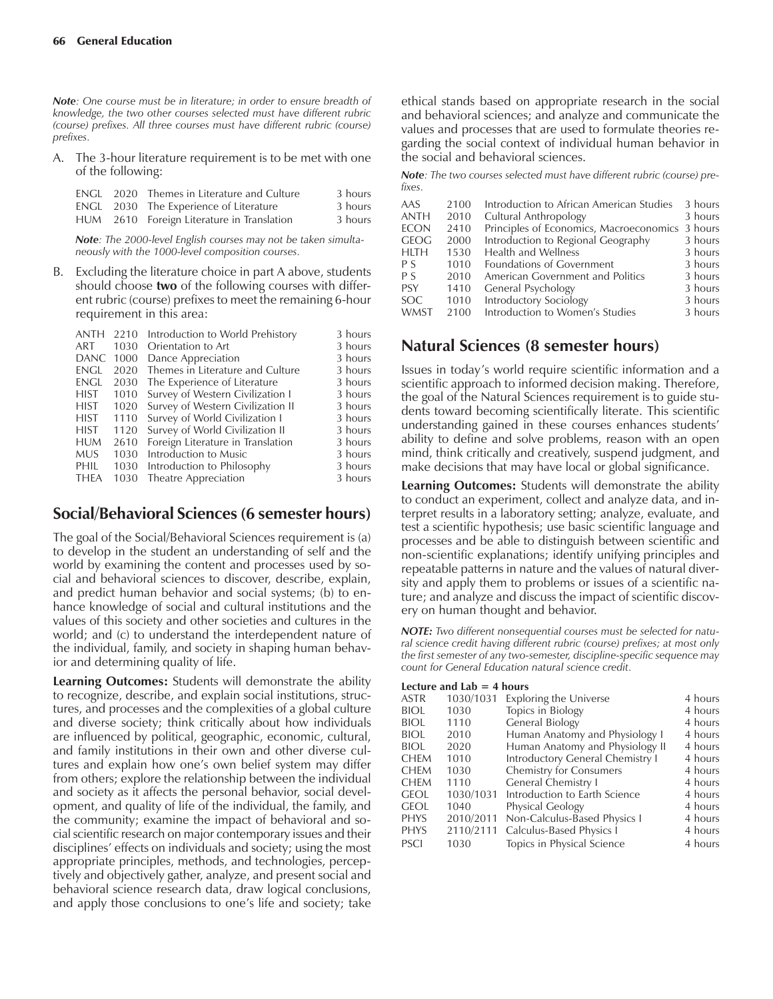*Note: One course must be in literature; in order to ensure breadth of knowledge, the two other courses selected must have different rubric (course) prefixes. All three courses must have different rubric (course) prefixes.*

A. The 3-hour literature requirement is to be met with one of the following:

|  | ENGL 2020 Themes in Literature and Culture | 3 hours |
|--|--------------------------------------------|---------|
|  | ENGL 2030 The Experience of Literature     | 3 hours |
|  | HUM 2610 Foreign Literature in Translation | 3 hours |

*Note: The 2000-level English courses may not be taken simultaneously with the 1000-level composition courses.*

B. Excluding the literature choice in part A above, students should choose **two** of the following courses with different rubric (course) prefixes to meet the remaining 6-hour requirement in this area:

| ANTH        | 2210 | Introduction to World Prehistory  | 3 hours |
|-------------|------|-----------------------------------|---------|
| ART         | 1030 | Orientation to Art                | 3 hours |
| <b>DANC</b> | 1000 | Dance Appreciation                | 3 hours |
| <b>ENGL</b> | 2020 | Themes in Literature and Culture  | 3 hours |
| <b>ENGL</b> | 2030 | The Experience of Literature      | 3 hours |
| <b>HIST</b> | 1010 | Survey of Western Civilization I  | 3 hours |
| <b>HIST</b> | 1020 | Survey of Western Civilization II | 3 hours |
| <b>HIST</b> | 1110 | Survey of World Civilization I    | 3 hours |
| <b>HIST</b> | 1120 | Survey of World Civilization II   | 3 hours |
| <b>HUM</b>  | 2610 | Foreign Literature in Translation | 3 hours |
| <b>MUS</b>  | 1030 | Introduction to Music             | 3 hours |
| PHIL        | 1030 | Introduction to Philosophy        | 3 hours |
| <b>THEA</b> | 1030 | Theatre Appreciation              | 3 hours |
|             |      |                                   |         |

#### **Social/Behavioral Sciences (6 semester hours)**

The goal of the Social/Behavioral Sciences requirement is (a) to develop in the student an understanding of self and the world by examining the content and processes used by social and behavioral sciences to discover, describe, explain, and predict human behavior and social systems; (b) to enhance knowledge of social and cultural institutions and the values of this society and other societies and cultures in the world; and (c) to understand the interdependent nature of the individual, family, and society in shaping human behavior and determining quality of life.

**Learning Outcomes:** Students will demonstrate the ability to recognize, describe, and explain social institutions, structures, and processes and the complexities of a global culture and diverse society; think critically about how individuals are influenced by political, geographic, economic, cultural, and family institutions in their own and other diverse cultures and explain how one's own belief system may differ from others; explore the relationship between the individual and society as it affects the personal behavior, social development, and quality of life of the individual, the family, and the community; examine the impact of behavioral and social scientific research on major contemporary issues and their disciplines' effects on individuals and society; using the most appropriate principles, methods, and technologies, perceptively and objectively gather, analyze, and present social and behavioral science research data, draw logical conclusions, and apply those conclusions to one's life and society; take

ethical stands based on appropriate research in the social and behavioral sciences; and analyze and communicate the values and processes that are used to formulate theories regarding the social context of individual human behavior in the social and behavioral sciences.

*Note: The two courses selected must have different rubric (course) prefixes.*

| AAS<br><b>ANTH</b><br><b>ECON</b><br><b>GEOG</b><br><b>HLTH</b><br>P S<br>P S<br><b>PSY</b> | 2100<br>2010<br>2410<br>2000<br>1530<br>1010<br>2010<br>1410 | Introduction to African American Studies<br>Cultural Anthropology<br>Principles of Economics, Macroeconomics 3 hours<br>Introduction to Regional Geography<br><b>Health and Wellness</b><br>Foundations of Government<br>American Government and Politics<br>General Psychology | 3 hours<br>3 hours<br>3 hours<br>3 hours<br>3 hours<br>3 hours<br>3 hours |
|---------------------------------------------------------------------------------------------|--------------------------------------------------------------|---------------------------------------------------------------------------------------------------------------------------------------------------------------------------------------------------------------------------------------------------------------------------------|---------------------------------------------------------------------------|
| <b>SOC</b>                                                                                  | 1010                                                         | Introductory Sociology                                                                                                                                                                                                                                                          | 3 hours                                                                   |
| <b>WMST</b>                                                                                 | 2100                                                         | Introduction to Women's Studies                                                                                                                                                                                                                                                 | 3 hours                                                                   |

#### **Natural Sciences (8 semester hours)**

Issues in todayís world require scientific information and a scientific approach to informed decision making. Therefore, the goal of the Natural Sciences requirement is to guide students toward becoming scientifically literate. This scientific understanding gained in these courses enhances students' ability to define and solve problems, reason with an open mind, think critically and creatively, suspend judgment, and make decisions that may have local or global significance.

**Learning Outcomes:** Students will demonstrate the ability to conduct an experiment, collect and analyze data, and interpret results in a laboratory setting; analyze, evaluate, and test a scientific hypothesis; use basic scientific language and processes and be able to distinguish between scientific and non-scientific explanations; identify unifying principles and repeatable patterns in nature and the values of natural diversity and apply them to problems or issues of a scientific nature; and analyze and discuss the impact of scientific discovery on human thought and behavior.

*NOTE: Two different nonsequential courses must be selected for natural science credit having different rubric (course) prefixes; at most only the first semester of any two-semester, discipline-specific sequence may count for General Education natural science credit.*

#### **Lecture and Lab = 4 hours**

| ASTR        | 1030/1031 | <b>Exploring the Universe</b>    | 4 hours |
|-------------|-----------|----------------------------------|---------|
| BIOL        | 1030      | Topics in Biology                | 4 hours |
| biol        | 1110      | <b>General Biology</b>           | 4 hours |
| BIOL        | 2010      | Human Anatomy and Physiology I   | 4 hours |
| BIOL        | 2020      | Human Anatomy and Physiology II  | 4 hours |
| CHEM        | 1010      | Introductory General Chemistry I | 4 hours |
| Chem        | 1030      | <b>Chemistry for Consumers</b>   | 4 hours |
| Chem        | 1110      | General Chemistry I              | 4 hours |
| geol        | 1030/1031 | Introduction to Earth Science    | 4 hours |
| geol        | 1040      | Physical Geology                 | 4 hours |
| <b>PHYS</b> | 2010/2011 | Non-Calculus-Based Physics I     | 4 hours |
| PHYS        | 2110/2111 | Calculus-Based Physics I         | 4 hours |
| PSCI        | 1030      | Topics in Physical Science       | 4 hours |
|             |           |                                  |         |